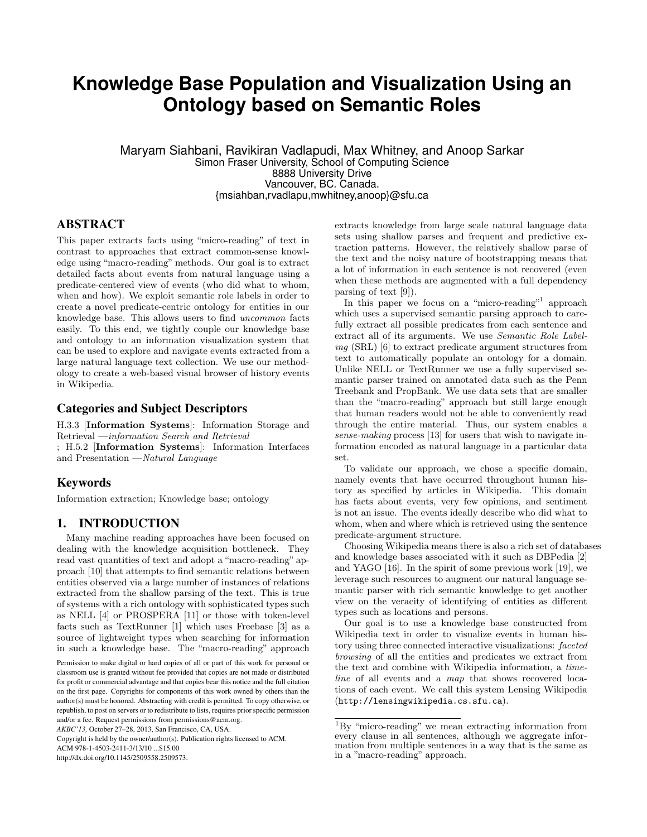# **Knowledge Base Population and Visualization Using an Ontology based on Semantic Roles**

Maryam Siahbani, Ravikiran Vadlapudi, Max Whitney, and Anoop Sarkar Simon Fraser University, School of Computing Science 8888 University Drive Vancouver, BC. Canada. {msiahban,rvadlapu,mwhitney,anoop}@sfu.ca

# ABSTRACT

This paper extracts facts using "micro-reading" of text in contrast to approaches that extract common-sense knowledge using "macro-reading" methods. Our goal is to extract detailed facts about events from natural language using a predicate-centered view of events (who did what to whom, when and how). We exploit semantic role labels in order to create a novel predicate-centric ontology for entities in our knowledge base. This allows users to find uncommon facts easily. To this end, we tightly couple our knowledge base and ontology to an information visualization system that can be used to explore and navigate events extracted from a large natural language text collection. We use our methodology to create a web-based visual browser of history events in Wikipedia.

#### Categories and Subject Descriptors

H.3.3 [Information Systems]: Information Storage and Retrieval —information Search and Retrieval

; H.5.2 [Information Systems]: Information Interfaces and Presentation —Natural Language

#### Keywords

Information extraction; Knowledge base; ontology

# 1. INTRODUCTION

Many machine reading approaches have been focused on dealing with the knowledge acquisition bottleneck. They read vast quantities of text and adopt a "macro-reading" approach [10] that attempts to find semantic relations between entities observed via a large number of instances of relations extracted from the shallow parsing of the text. This is true of systems with a rich ontology with sophisticated types such as NELL [4] or PROSPERA [11] or those with token-level facts such as TextRunner [1] which uses Freebase [3] as a source of lightweight types when searching for information in such a knowledge base. The "macro-reading" approach

Copyright is held by the owner/author(s). Publication rights licensed to ACM.

ACM 978-1-4503-2411-3/13/10 ...\$15.00

http://dx.doi.org/10.1145/2509558.2509573.

extracts knowledge from large scale natural language data sets using shallow parses and frequent and predictive extraction patterns. However, the relatively shallow parse of the text and the noisy nature of bootstrapping means that a lot of information in each sentence is not recovered (even when these methods are augmented with a full dependency parsing of text [9]).

In this paper we focus on a "micro-reading"<sup>1</sup> approach which uses a supervised semantic parsing approach to carefully extract all possible predicates from each sentence and extract all of its arguments. We use Semantic Role Labeling (SRL) [6] to extract predicate argument structures from text to automatically populate an ontology for a domain. Unlike NELL or TextRunner we use a fully supervised semantic parser trained on annotated data such as the Penn Treebank and PropBank. We use data sets that are smaller than the "macro-reading" approach but still large enough that human readers would not be able to conveniently read through the entire material. Thus, our system enables a sense-making process [13] for users that wish to navigate information encoded as natural language in a particular data set.

To validate our approach, we chose a specific domain, namely events that have occurred throughout human history as specified by articles in Wikipedia. This domain has facts about events, very few opinions, and sentiment is not an issue. The events ideally describe who did what to whom, when and where which is retrieved using the sentence predicate-argument structure.

Choosing Wikipedia means there is also a rich set of databases and knowledge bases associated with it such as DBPedia [2] and YAGO [16]. In the spirit of some previous work [19], we leverage such resources to augment our natural language semantic parser with rich semantic knowledge to get another view on the veracity of identifying of entities as different types such as locations and persons.

Our goal is to use a knowledge base constructed from Wikipedia text in order to visualize events in human history using three connected interactive visualizations: faceted browsing of all the entities and predicates we extract from the text and combine with Wikipedia information, a timeline of all events and a map that shows recovered locations of each event. We call this system Lensing Wikipedia (http://lensingwikipedia.cs.sfu.ca).

Permission to make digital or hard copies of all or part of this work for personal or classroom use is granted without fee provided that copies are not made or distributed for profit or commercial advantage and that copies bear this notice and the full citation on the first page. Copyrights for components of this work owned by others than the author(s) must be honored. Abstracting with credit is permitted. To copy otherwise, or republish, to post on servers or to redistribute to lists, requires prior specific permission and/or a fee. Request permissions from permissions@acm.org.

*AKBC'13,* October 27–28, 2013, San Francisco, CA, USA.

 $1\text{By }$  "micro-reading" we mean extracting information from every clause in all sentences, although we aggregate information from multiple sentences in a way that is the same as in a "macro-reading" approach.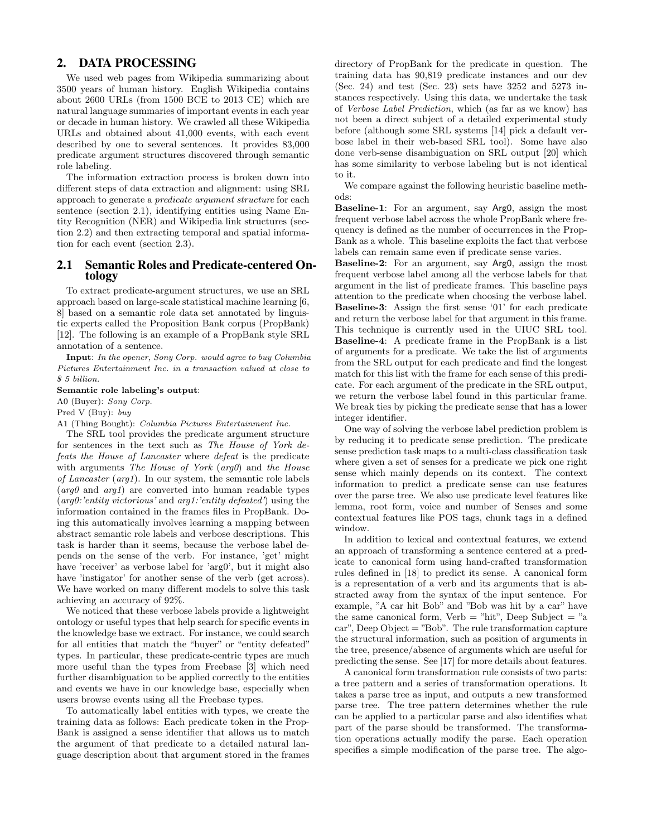## 2. DATA PROCESSING

We used web pages from Wikipedia summarizing about 3500 years of human history. English Wikipedia contains about 2600 URLs (from 1500 BCE to 2013 CE) which are natural language summaries of important events in each year or decade in human history. We crawled all these Wikipedia URLs and obtained about 41,000 events, with each event described by one to several sentences. It provides 83,000 predicate argument structures discovered through semantic role labeling.

The information extraction process is broken down into different steps of data extraction and alignment: using SRL approach to generate a predicate argument structure for each sentence (section 2.1), identifying entities using Name Entity Recognition (NER) and Wikipedia link structures (section 2.2) and then extracting temporal and spatial information for each event (section 2.3).

#### 2.1 Semantic Roles and Predicate-centered Ontology

To extract predicate-argument structures, we use an SRL approach based on large-scale statistical machine learning [6, 8] based on a semantic role data set annotated by linguistic experts called the Proposition Bank corpus (PropBank) [12]. The following is an example of a PropBank style SRL annotation of a sentence.

Input: In the opener, Sony Corp. would agree to buy Columbia Pictures Entertainment Inc. in a transaction valued at close to \$ 5 billion.

Semantic role labeling's output:

A0 (Buyer): Sony Corp.

Pred V (Buy): buy

A1 (Thing Bought): Columbia Pictures Entertainment Inc.

The SRL tool provides the predicate argument structure for sentences in the text such as The House of York defeats the House of Lancaster where defeat is the predicate with arguments The House of York (arg0) and the House of Lancaster (arg1). In our system, the semantic role labels  $(\textit{arg0}$  and  $\textit{arg1})$  are converted into human readable types (arg0:'entity victorious' and arg1:'entity defeated') using the information contained in the frames files in PropBank. Doing this automatically involves learning a mapping between abstract semantic role labels and verbose descriptions. This task is harder than it seems, because the verbose label depends on the sense of the verb. For instance, 'get' might have 'receiver' as verbose label for 'arg0', but it might also have 'instigator' for another sense of the verb (get across). We have worked on many different models to solve this task achieving an accuracy of 92%.

We noticed that these verbose labels provide a lightweight ontology or useful types that help search for specific events in the knowledge base we extract. For instance, we could search for all entities that match the "buyer" or "entity defeated" types. In particular, these predicate-centric types are much more useful than the types from Freebase [3] which need further disambiguation to be applied correctly to the entities and events we have in our knowledge base, especially when users browse events using all the Freebase types.

To automatically label entities with types, we create the training data as follows: Each predicate token in the Prop-Bank is assigned a sense identifier that allows us to match the argument of that predicate to a detailed natural language description about that argument stored in the frames directory of PropBank for the predicate in question. The training data has 90,819 predicate instances and our dev (Sec. 24) and test (Sec. 23) sets have 3252 and 5273 instances respectively. Using this data, we undertake the task of Verbose Label Prediction, which (as far as we know) has not been a direct subject of a detailed experimental study before (although some SRL systems [14] pick a default verbose label in their web-based SRL tool). Some have also done verb-sense disambiguation on SRL output [20] which has some similarity to verbose labeling but is not identical to it.

We compare against the following heuristic baseline methods:

Baseline-1: For an argument, say Arg0, assign the most frequent verbose label across the whole PropBank where frequency is defined as the number of occurrences in the Prop-Bank as a whole. This baseline exploits the fact that verbose labels can remain same even if predicate sense varies.

Baseline-2: For an argument, say Arg0, assign the most frequent verbose label among all the verbose labels for that argument in the list of predicate frames. This baseline pays attention to the predicate when choosing the verbose label. Baseline-3: Assign the first sense '01' for each predicate and return the verbose label for that argument in this frame. This technique is currently used in the UIUC SRL tool. Baseline-4: A predicate frame in the PropBank is a list of arguments for a predicate. We take the list of arguments from the SRL output for each predicate and find the longest match for this list with the frame for each sense of this predicate. For each argument of the predicate in the SRL output, we return the verbose label found in this particular frame. We break ties by picking the predicate sense that has a lower integer identifier.

One way of solving the verbose label prediction problem is by reducing it to predicate sense prediction. The predicate sense prediction task maps to a multi-class classification task where given a set of senses for a predicate we pick one right sense which mainly depends on its context. The context information to predict a predicate sense can use features over the parse tree. We also use predicate level features like lemma, root form, voice and number of Senses and some contextual features like POS tags, chunk tags in a defined window.

In addition to lexical and contextual features, we extend an approach of transforming a sentence centered at a predicate to canonical form using hand-crafted transformation rules defined in [18] to predict its sense. A canonical form is a representation of a verb and its arguments that is abstracted away from the syntax of the input sentence. For example, "A car hit Bob" and "Bob was hit by a car" have the same canonical form, Verb  $=$  "hit", Deep Subject  $=$  "a  $car$ ", Deep Object = "Bob". The rule transformation capture the structural information, such as position of arguments in the tree, presence/absence of arguments which are useful for predicting the sense. See [17] for more details about features.

A canonical form transformation rule consists of two parts: a tree pattern and a series of transformation operations. It takes a parse tree as input, and outputs a new transformed parse tree. The tree pattern determines whether the rule can be applied to a particular parse and also identifies what part of the parse should be transformed. The transformation operations actually modify the parse. Each operation specifies a simple modification of the parse tree. The algo-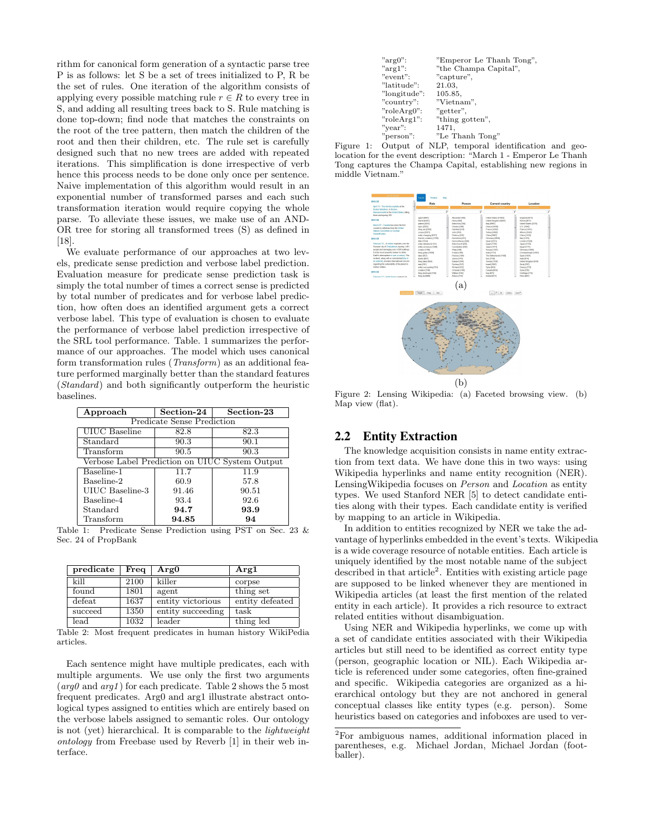rithm for canonical form generation of a syntactic parse tree P is as follows: let S be a set of trees initialized to P, R be the set of rules. One iteration of the algorithm consists of applying every possible matching rule  $r \in R$  to every tree in S, and adding all resulting trees back to S. Rule matching is done top-down; find node that matches the constraints on the root of the tree pattern, then match the children of the root and then their children, etc. The rule set is carefully designed such that no new trees are added with repeated iterations. This simplification is done irrespective of verb hence this process needs to be done only once per sentence. Naive implementation of this algorithm would result in an exponential number of transformed parses and each such transformation iteration would require copying the whole parse. To alleviate these issues, we make use of an AND-OR tree for storing all transformed trees (S) as defined in [18].

We evaluate performance of our approaches at two levels, predicate sense prediction and verbose label prediction. Evaluation measure for predicate sense prediction task is simply the total number of times a correct sense is predicted by total number of predicates and for verbose label prediction, how often does an identified argument gets a correct verbose label. This type of evaluation is chosen to evaluate the performance of verbose label prediction irrespective of the SRL tool performance. Table. 1 summarizes the performance of our approaches. The model which uses canonical form transformation rules (Transform) as an additional feature performed marginally better than the standard features (Standard) and both significantly outperform the heuristic baselines.

| Approach                                       | Section-24 | Section-23 |  |  |
|------------------------------------------------|------------|------------|--|--|
| <b>Predicate Sense Prediction</b>              |            |            |  |  |
| UIUC Baseline                                  | 82.8       | 82.3       |  |  |
| Standard                                       | 90.3       | 90.1       |  |  |
| Transform                                      | 90.5       | 90.3       |  |  |
| Verbose Label Prediction on UIUC System Output |            |            |  |  |
| Baseline-1                                     | 11.7       | 11.9       |  |  |
| Baseline-2                                     | 60.9       | 57.8       |  |  |
| UIUC Baseline-3                                | 91.46      | 90.51      |  |  |
| Baseline-4                                     | 93.4       | 92.6       |  |  |
| Standard                                       | 94.7       | 93.9       |  |  |
| Transform                                      | 94.85      | 94         |  |  |

Table 1: Predicate Sense Prediction using PST on Sec. 23 & Sec. 24 of PropBank

| predicate | Freq | Arg0              | Arg1            |
|-----------|------|-------------------|-----------------|
| kill      | 2100 | killer            | corpse          |
| found     | 1801 | agent             | thing set       |
| defeat    | 1637 | entity victorious | entity defeated |
| succeed   | 1350 | entity succeeding | task            |
| lead      | 1032 | leader            | thing led       |

Table 2: Most frequent predicates in human history WikiPedia articles.

Each sentence might have multiple predicates, each with multiple arguments. We use only the first two arguments  $(\textit{arg0} \text{ and } \textit{arg1})$  for each predicate. Table 2 shows the 5 most frequent predicates. Arg0 and arg1 illustrate abstract ontological types assigned to entities which are entirely based on the verbose labels assigned to semantic roles. Our ontology is not (yet) hierarchical. It is comparable to the lightweight ontology from Freebase used by Reverb [1] in their web interface.

| $"arg0"$ :     | "Emperor Le Thanh Tong", |
|----------------|--------------------------|
| $"arg1"$ :     | "the Champa Capital",    |
| "event":       | "capture".               |
| "latitude":    | 21.03.                   |
| "longitude":   | 105.85,                  |
| "country":     | "Vietnam",               |
| $"roleArg0"$ : | "getter".                |
| "roleArg1":    | "thing gotten".          |
| "year"         | 1471.                    |
| "person":      | "Le Thanh Tong"          |
|                |                          |





Figure 2: Lensing Wikipedia: (a) Faceted browsing view. (b) Map view (flat).

## 2.2 Entity Extraction

The knowledge acquisition consists in name entity extraction from text data. We have done this in two ways: using Wikipedia hyperlinks and name entity recognition (NER). LensingWikipedia focuses on Person and Location as entity types. We used Stanford NER [5] to detect candidate entities along with their types. Each candidate entity is verified by mapping to an article in Wikipedia.

In addition to entities recognized by NER we take the advantage of hyperlinks embedded in the event's texts. Wikipedia is a wide coverage resource of notable entities. Each article is uniquely identified by the most notable name of the subject described in that article<sup>2</sup>. Entities with existing article page are supposed to be linked whenever they are mentioned in Wikipedia articles (at least the first mention of the related entity in each article). It provides a rich resource to extract related entities without disambiguation.

Using NER and Wikipedia hyperlinks, we come up with a set of candidate entities associated with their Wikipedia articles but still need to be identified as correct entity type (person, geographic location or NIL). Each Wikipedia article is referenced under some categories, often fine-grained and specific. Wikipedia categories are organized as a hierarchical ontology but they are not anchored in general conceptual classes like entity types (e.g. person). Some heuristics based on categories and infoboxes are used to ver-

<sup>2</sup>For ambiguous names, additional information placed in parentheses, e.g. Michael Jordan, Michael Jordan (footballer).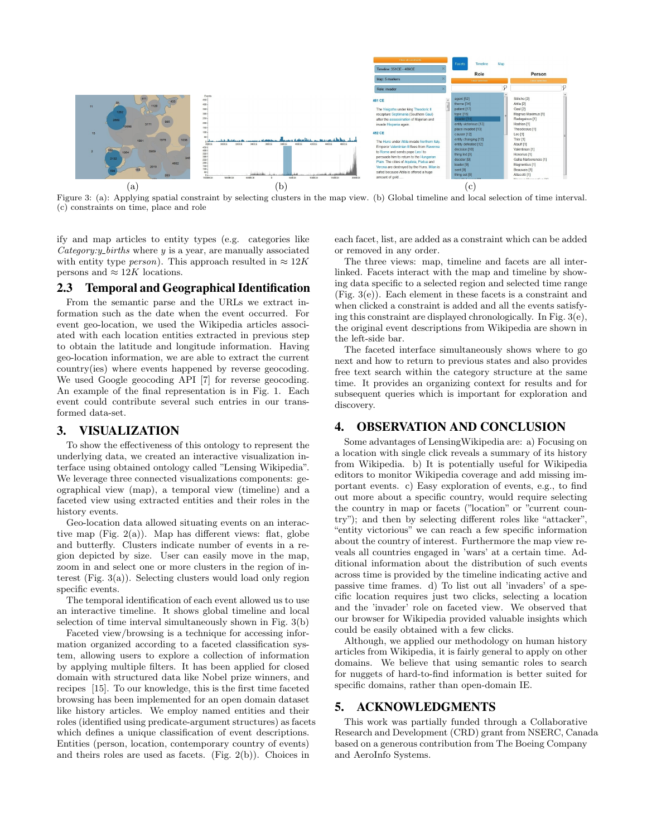

Figure 3: (a): Applying spatial constraint by selecting clusters in the map view. (b) Global timeline and local selection of time interval. (c) constraints on time, place and role

ify and map articles to entity types (e.g. categories like  $Category: y\_births$  where  $y$  is a year, are manually associated with entity type *person*). This approach resulted in  $\approx 12K$ persons and  $\approx 12K$  locations.

## 2.3 Temporal and Geographical Identification

From the semantic parse and the URLs we extract information such as the date when the event occurred. For event geo-location, we used the Wikipedia articles associated with each location entities extracted in previous step to obtain the latitude and longitude information. Having geo-location information, we are able to extract the current country(ies) where events happened by reverse geocoding. We used Google geocoding API [7] for reverse geocoding. An example of the final representation is in Fig. 1. Each event could contribute several such entries in our transformed data-set.

#### 3. VISUALIZATION

To show the effectiveness of this ontology to represent the underlying data, we created an interactive visualization interface using obtained ontology called "Lensing Wikipedia". We leverage three connected visualizations components: geographical view (map), a temporal view (timeline) and a faceted view using extracted entities and their roles in the history events.

Geo-location data allowed situating events on an interactive map (Fig. 2(a)). Map has different views: flat, globe and butterfly. Clusters indicate number of events in a region depicted by size. User can easily move in the map, zoom in and select one or more clusters in the region of interest (Fig. 3(a)). Selecting clusters would load only region specific events.

The temporal identification of each event allowed us to use an interactive timeline. It shows global timeline and local selection of time interval simultaneously shown in Fig. 3(b)

Faceted view/browsing is a technique for accessing information organized according to a faceted classification system, allowing users to explore a collection of information by applying multiple filters. It has been applied for closed domain with structured data like Nobel prize winners, and recipes [15]. To our knowledge, this is the first time faceted browsing has been implemented for an open domain dataset like history articles. We employ named entities and their roles (identified using predicate-argument structures) as facets which defines a unique classification of event descriptions. Entities (person, location, contemporary country of events) and theirs roles are used as facets. (Fig. 2(b)). Choices in

each facet, list, are added as a constraint which can be added or removed in any order.

The three views: map, timeline and facets are all interlinked. Facets interact with the map and timeline by showing data specific to a selected region and selected time range (Fig. 3(e)). Each element in these facets is a constraint and when clicked a constraint is added and all the events satisfying this constraint are displayed chronologically. In Fig. 3(e), the original event descriptions from Wikipedia are shown in the left-side bar.

The faceted interface simultaneously shows where to go next and how to return to previous states and also provides free text search within the category structure at the same time. It provides an organizing context for results and for subsequent queries which is important for exploration and discovery.

## 4. OBSERVATION AND CONCLUSION

Some advantages of LensingWikipedia are: a) Focusing on a location with single click reveals a summary of its history from Wikipedia. b) It is potentially useful for Wikipedia editors to monitor Wikipedia coverage and add missing important events. c) Easy exploration of events, e.g., to find out more about a specific country, would require selecting the country in map or facets ("location" or "current country"); and then by selecting different roles like "attacker", "entity victorious" we can reach a few specific information about the country of interest. Furthermore the map view reveals all countries engaged in 'wars' at a certain time. Additional information about the distribution of such events across time is provided by the timeline indicating active and passive time frames. d) To list out all 'invaders' of a specific location requires just two clicks, selecting a location and the 'invader' role on faceted view. We observed that our browser for Wikipedia provided valuable insights which could be easily obtained with a few clicks.

Although, we applied our methodology on human history articles from Wikipedia, it is fairly general to apply on other domains. We believe that using semantic roles to search for nuggets of hard-to-find information is better suited for specific domains, rather than open-domain IE.

## 5. ACKNOWLEDGMENTS

This work was partially funded through a Collaborative Research and Development (CRD) grant from NSERC, Canada based on a generous contribution from The Boeing Company and AeroInfo Systems.